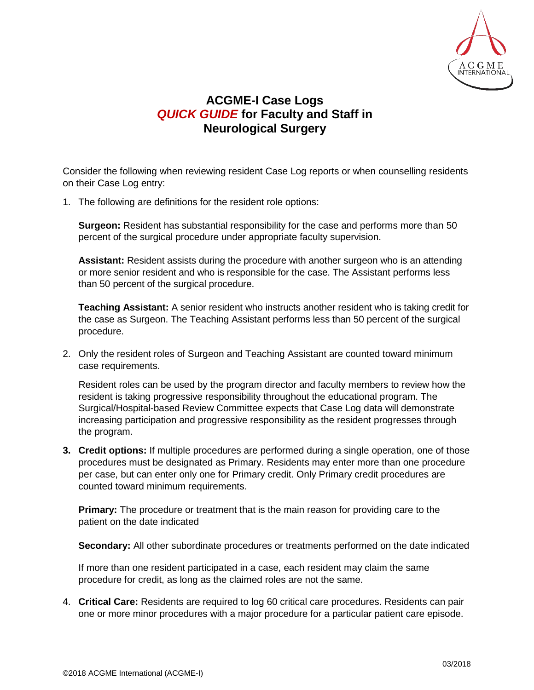

## **ACGME-I Case Logs** *QUICK GUIDE* **for Faculty and Staff in Neurological Surgery**

Consider the following when reviewing resident Case Log reports or when counselling residents on their Case Log entry:

1. The following are definitions for the resident role options:

**Surgeon:** Resident has substantial responsibility for the case and performs more than 50 percent of the surgical procedure under appropriate faculty supervision.

**Assistant:** Resident assists during the procedure with another surgeon who is an attending or more senior resident and who is responsible for the case. The Assistant performs less than 50 percent of the surgical procedure.

**Teaching Assistant:** A senior resident who instructs another resident who is taking credit for the case as Surgeon. The Teaching Assistant performs less than 50 percent of the surgical procedure.

2. Only the resident roles of Surgeon and Teaching Assistant are counted toward minimum case requirements.

Resident roles can be used by the program director and faculty members to review how the resident is taking progressive responsibility throughout the educational program. The Surgical/Hospital-based Review Committee expects that Case Log data will demonstrate increasing participation and progressive responsibility as the resident progresses through the program.

**3. Credit options:** If multiple procedures are performed during a single operation, one of those procedures must be designated as Primary. Residents may enter more than one procedure per case, but can enter only one for Primary credit. Only Primary credit procedures are counted toward minimum requirements.

**Primary:** The procedure or treatment that is the main reason for providing care to the patient on the date indicated

**Secondary:** All other subordinate procedures or treatments performed on the date indicated

If more than one resident participated in a case, each resident may claim the same procedure for credit, as long as the claimed roles are not the same.

4. **Critical Care:** Residents are required to log 60 critical care procedures. Residents can pair one or more minor procedures with a major procedure for a particular patient care episode.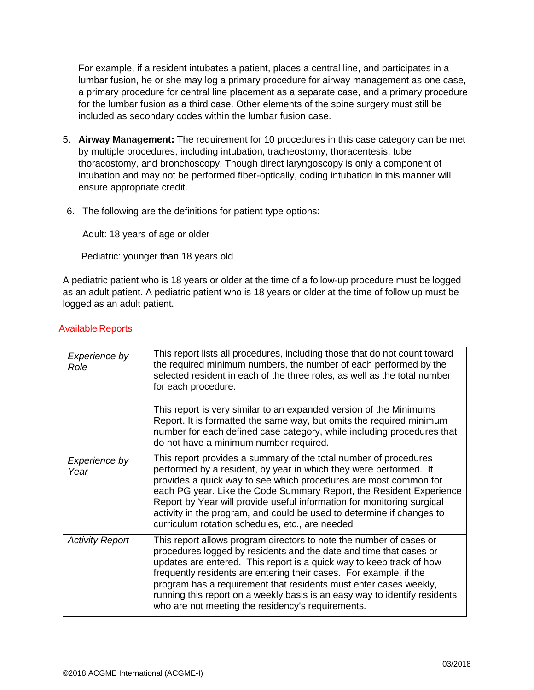For example, if a resident intubates a patient, places a central line, and participates in a lumbar fusion, he or she may log a primary procedure for airway management as one case, a primary procedure for central line placement as a separate case, and a primary procedure for the lumbar fusion as a third case. Other elements of the spine surgery must still be included as secondary codes within the lumbar fusion case.

- 5. **Airway Management:** The requirement for 10 procedures in this case category can be met by multiple procedures, including intubation, tracheostomy, thoracentesis, tube thoracostomy, and bronchoscopy. Though direct laryngoscopy is only a component of intubation and may not be performed fiber-optically, coding intubation in this manner will ensure appropriate credit.
- 6. The following are the definitions for patient type options:

Adult: 18 years of age or older

Pediatric: younger than 18 years old

A pediatric patient who is 18 years or older at the time of a follow-up procedure must be logged as an adult patient. A pediatric patient who is 18 years or older at the time of follow up must be logged as an adult patient.

| Experience by<br>Role  | This report lists all procedures, including those that do not count toward<br>the required minimum numbers, the number of each performed by the<br>selected resident in each of the three roles, as well as the total number<br>for each procedure.<br>This report is very similar to an expanded version of the Minimums<br>Report. It is formatted the same way, but omits the required minimum<br>number for each defined case category, while including procedures that<br>do not have a minimum number required. |
|------------------------|-----------------------------------------------------------------------------------------------------------------------------------------------------------------------------------------------------------------------------------------------------------------------------------------------------------------------------------------------------------------------------------------------------------------------------------------------------------------------------------------------------------------------|
| Experience by<br>Year  | This report provides a summary of the total number of procedures<br>performed by a resident, by year in which they were performed. It<br>provides a quick way to see which procedures are most common for<br>each PG year. Like the Code Summary Report, the Resident Experience<br>Report by Year will provide useful information for monitoring surgical<br>activity in the program, and could be used to determine if changes to<br>curriculum rotation schedules, etc., are needed                                |
| <b>Activity Report</b> | This report allows program directors to note the number of cases or<br>procedures logged by residents and the date and time that cases or<br>updates are entered. This report is a quick way to keep track of how<br>frequently residents are entering their cases. For example, if the<br>program has a requirement that residents must enter cases weekly,<br>running this report on a weekly basis is an easy way to identify residents<br>who are not meeting the residency's requirements.                       |

## Available Reports